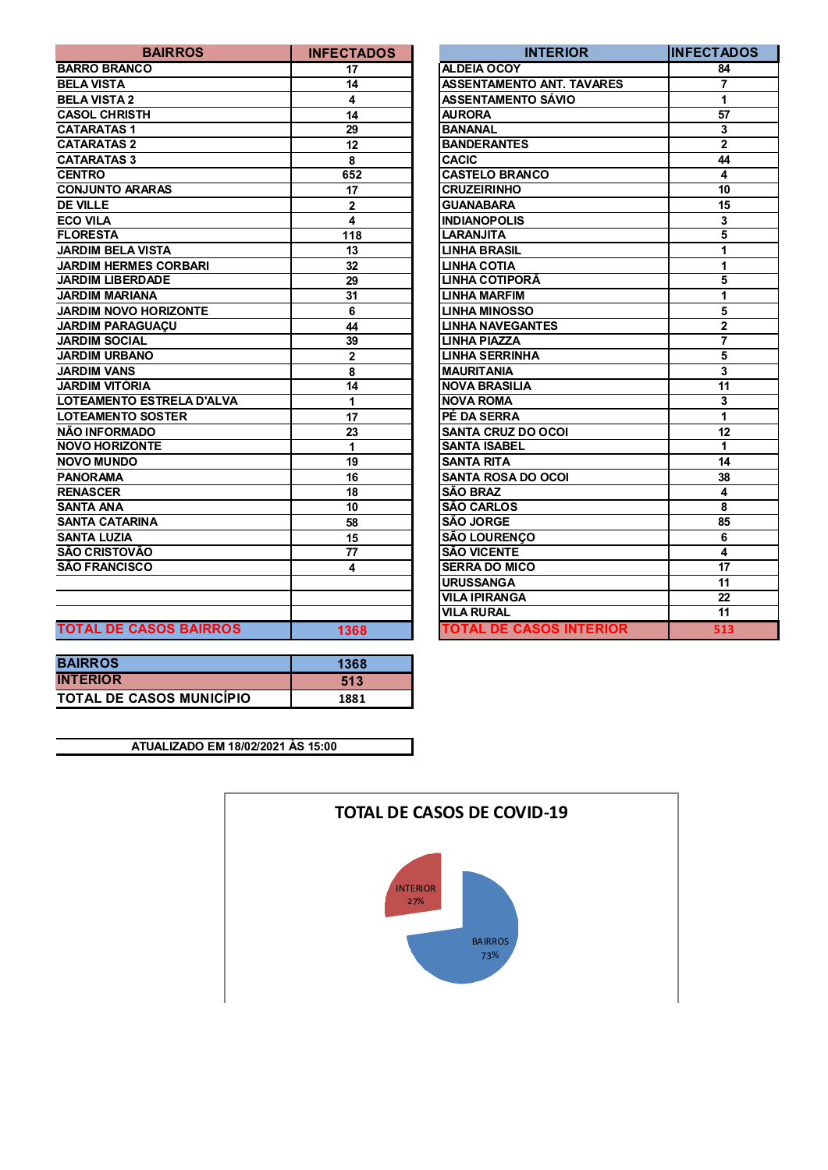| <b>BAIRROS</b>                | <b>INFECTADOS</b> | <b>INTERIOR</b>                  | <b>IINFECTAI</b>        |
|-------------------------------|-------------------|----------------------------------|-------------------------|
| <b>BARRO BRANCO</b>           | 17                | <b>ALDEIA OCOY</b>               | 84                      |
| <b>BELA VISTA</b>             | 14                | <b>ASSENTAMENTO ANT. TAVARES</b> | $\overline{7}$          |
| <b>BELA VISTA 2</b>           | 4                 | <b>ASSENTAMENTO SÁVIO</b>        | $\mathbf{1}$            |
| <b>CASOL CHRISTH</b>          | 14                | <b>AURORA</b>                    | $\overline{57}$         |
| <b>CATARATAS1</b>             | 29                | <b>BANANAL</b>                   | $\mathbf{3}$            |
| <b>CATARATAS 2</b>            | 12                | <b>BANDERANTES</b>               | $\overline{2}$          |
| <b>CATARATAS 3</b>            | 8                 | <b>CACIC</b>                     | 44                      |
| <b>CENTRO</b>                 | 652               | <b>CASTELO BRANCO</b>            | $\overline{\mathbf{4}}$ |
| <b>CONJUNTO ARARAS</b>        | 17                | <b>CRUZEIRINHO</b>               | $\overline{10}$         |
| <b>DE VILLE</b>               | $\overline{2}$    | <b>GUANABARA</b>                 | 15                      |
| <b>ECO VILA</b>               | 4                 | <b>INDIANOPOLIS</b>              | $\mathbf{3}$            |
| <b>FLORESTA</b>               | 118               | <b>LARANJITA</b>                 | $\overline{5}$          |
| <b>JARDIM BELA VISTA</b>      | 13                | <b>LINHA BRASIL</b>              | $\mathbf 1$             |
| <b>JARDIM HERMES CORBARI</b>  | 32                | <b>LINHA COTIA</b>               | $\mathbf{1}$            |
| <b>JARDIM LIBERDADE</b>       | 29                | <b>LINHA COTIPORÃ</b>            | $\overline{5}$          |
| <b>JARDIM MARIANA</b>         | 31                | <b>LINHA MARFIM</b>              | $\overline{1}$          |
| <b>JARDIM NOVO HORIZONTE</b>  | 6                 | <b>LINHA MINOSSO</b>             | $\overline{\mathbf{5}}$ |
| <b>JARDIM PARAGUAÇU</b>       | 44                | <b>LINHA NAVEGANTES</b>          | $\overline{2}$          |
| <b>JARDIM SOCIAL</b>          | 39                | <b>LINHA PIAZZA</b>              | $\overline{7}$          |
| <b>JARDIM URBANO</b>          | $\mathbf 2$       | <b>LINHA SERRINHA</b>            | 5                       |
| <b>JARDIM VANS</b>            | 8                 | <b>MAURITANIA</b>                | 3                       |
| <b>JARDIM VITÓRIA</b>         | 14                | <b>NOVA BRASILIA</b>             | $\overline{11}$         |
| LOTEAMENTO ESTRELA D'ALVA     | 1                 | <b>NOVA ROMA</b>                 | $\mathbf{3}$            |
| <b>LOTEAMENTO SOSTER</b>      | 17                | PÉ DA SERRA                      | $\mathbf{1}$            |
| NÃO INFORMADO                 | 23                | <b>SANTA CRUZ DO OCOI</b>        | 12                      |
| <b>NOVO HORIZONTE</b>         | 1                 | <b>SANTA ISABEL</b>              | $\mathbf{1}$            |
| <b>NOVO MUNDO</b>             | 19                | <b>SANTA RITA</b>                | 14                      |
| <b>PANORAMA</b>               | 16                | <b>SANTA ROSA DO OCOI</b>        | 38                      |
| <b>RENASCER</b>               | 18                | <b>SÃO BRAZ</b>                  | 4                       |
| <b>SANTA ANA</b>              | 10                | <b>SÃO CARLOS</b>                | 8                       |
| <b>SANTA CATARINA</b>         | 58                | <b>SÃO JORGE</b>                 | 85                      |
| <b>SANTA LUZIA</b>            | 15                | <b>SÃO LOURENÇO</b>              | $\overline{6}$          |
| <b>SÃO CRISTOVÃO</b>          | 77                | <b>SÃO VICENTE</b>               | $\overline{\mathbf{4}}$ |
| <b>SÃO FRANCISCO</b>          | 4                 | <b>SERRA DO MICO</b>             | $\overline{17}$         |
|                               |                   | <b>URUSSANGA</b>                 | $\overline{11}$         |
|                               |                   | <b>VILA IPIRANGA</b>             | 22                      |
|                               |                   | <b>VILA RURAL</b>                | 11                      |
| <b>TOTAL DE CASOS BAIRROS</b> | 1368              | <b>TOTAL DE CASOS INTERIOR</b>   | 513                     |

| <b>BAIRROS</b>        | <b>INFECTADOS</b>       | <b>INTERIOR</b>                  | <b>IINFECTADOS</b>      |
|-----------------------|-------------------------|----------------------------------|-------------------------|
| 0                     | 17                      | <b>ALDEIA OCOY</b>               | 84                      |
|                       | 14                      | <b>ASSENTAMENTO ANT. TAVARES</b> | $\overline{7}$          |
|                       | $\overline{\mathbf{4}}$ | <b>ASSENTAMENTO SÁVIO</b>        | 1                       |
| H                     | 14                      | <b>AURORA</b>                    | 57                      |
|                       | 29                      | <b>BANANAL</b>                   | 3                       |
|                       | 12                      | <b>BANDERANTES</b>               | $\overline{2}$          |
|                       | 8                       | <b>CACIC</b>                     | 44                      |
|                       | 652                     | <b>CASTELO BRANCO</b>            | $\overline{\mathbf{A}}$ |
| <b>ARAS</b>           | 17                      | <b>CRUZEIRINHO</b>               | 10                      |
|                       | $\overline{2}$          | <b>GUANABARA</b>                 | 15                      |
|                       | $\overline{\mathbf{4}}$ | <b>INDIANOPOLIS</b>              | 3                       |
|                       | 118                     | <b>LARANJITA</b>                 | 5                       |
| <b>/ISTA</b>          | 13                      | <b>LINHA BRASIL</b>              | 1                       |
| <b>S CORBARI</b>      | 32                      | <b>LINHA COTIA</b>               | 1                       |
| <b>ADE</b>            | 29                      | <b>LINHA COTIPORÃ</b>            | 5                       |
| <b>NA</b>             | 31                      | <b>LINHA MARFIM</b>              | 1                       |
| <b>HORIZONTE</b>      | 6                       | <b>LINHA MINOSSO</b>             | $\overline{\mathbf{5}}$ |
| <b>IUAÇU</b>          | 44                      | <b>LINHA NAVEGANTES</b>          | $\overline{\mathbf{2}}$ |
|                       | 39                      | <b>LINHA PIAZZA</b>              | $\overline{7}$          |
| IO.                   | $\overline{2}$          | <b>LINHA SERRINHA</b>            |                         |
|                       | 8                       | <b>MAURITANIA</b>                | 3                       |
| A                     | 14                      | <b>NOVA BRASILIA</b>             | 11                      |
| <b>ESTRELA D'ALVA</b> | 1                       | <b>NOVA ROMA</b>                 | 3                       |
| <b>SOSTER</b>         | 17                      | PÉ DA SERRA                      | 1                       |
| OC                    | 23                      | SANTA CRUZ DO OCOI               | 12                      |
| <b>NTE</b>            | 1                       | <b>SANTA ISABEL</b>              | 1                       |
|                       | 19                      | <b>SANTA RITA</b>                | 14                      |
|                       | 16                      | <b>SANTA ROSA DO OCOI</b>        | 38                      |
|                       | 18                      | <b>SÃO BRAZ</b>                  | 4                       |
|                       | 10                      | <b>SÃO CARLOS</b>                | 8                       |
| NΑ                    | 58                      | <b>SÃO JORGE</b>                 | 85                      |
|                       | 15                      | <b>SÃO LOURENÇO</b>              | 6                       |
| O                     | 77                      | <b>SÃO VICENTE</b>               | $\overline{\mathbf{4}}$ |
| Ö                     | 4                       | <b>SERRA DO MICO</b>             | 17                      |
|                       |                         | <b>URUSSANGA</b>                 | 11                      |
|                       |                         | <b>VILA IPIRANGA</b>             | 22                      |
|                       |                         | <b>VILA RURAL</b>                | 11                      |
| <b>ASOS BAIRROS</b>   | 1368                    | <b>TOTAL DE CASOS INTERIOR</b>   | 513                     |

| <b>BAIRROS</b>                  | 1368 |
|---------------------------------|------|
| <b>INTERIOR</b>                 | 513  |
| <b>TOTAL DE CASOS MUNICÍPIO</b> | 1881 |

## **ATUALIZADO EM 18/02/2021 ÀS 15:00**

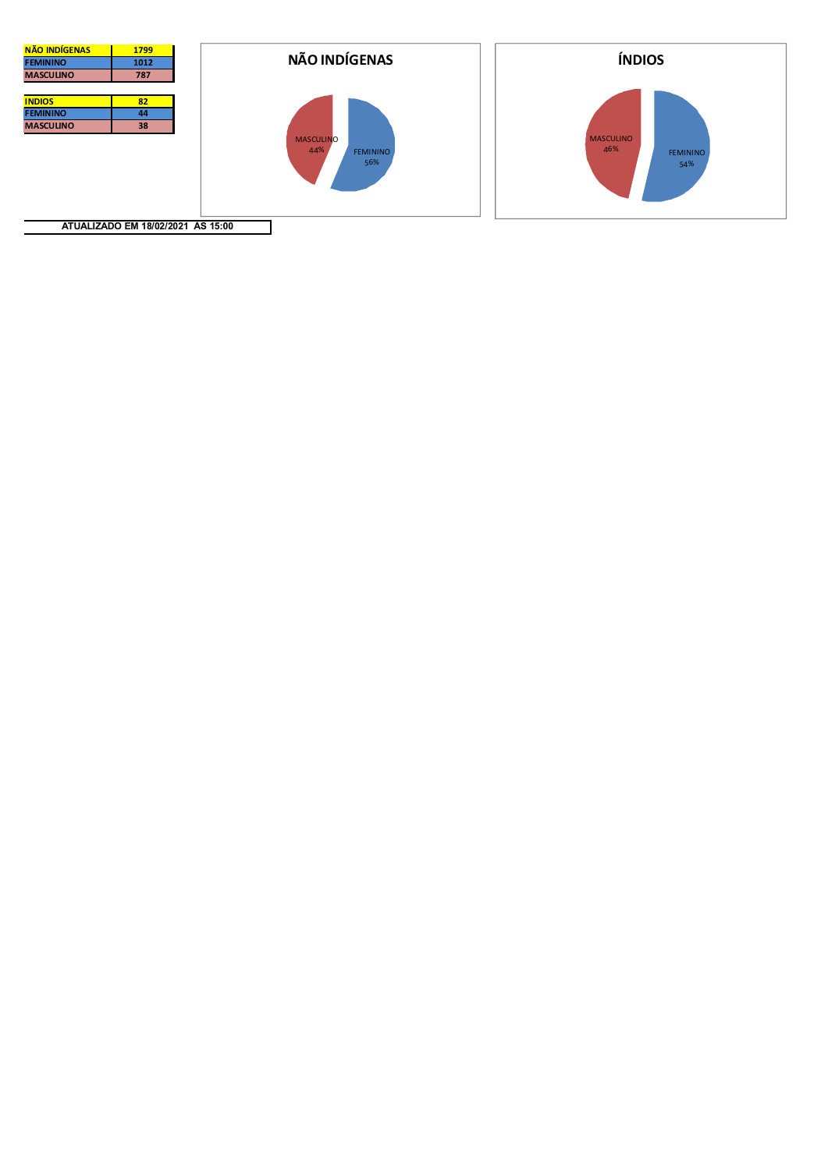

ATUALIZADO EM 18/02/2021 AS 15:00

٦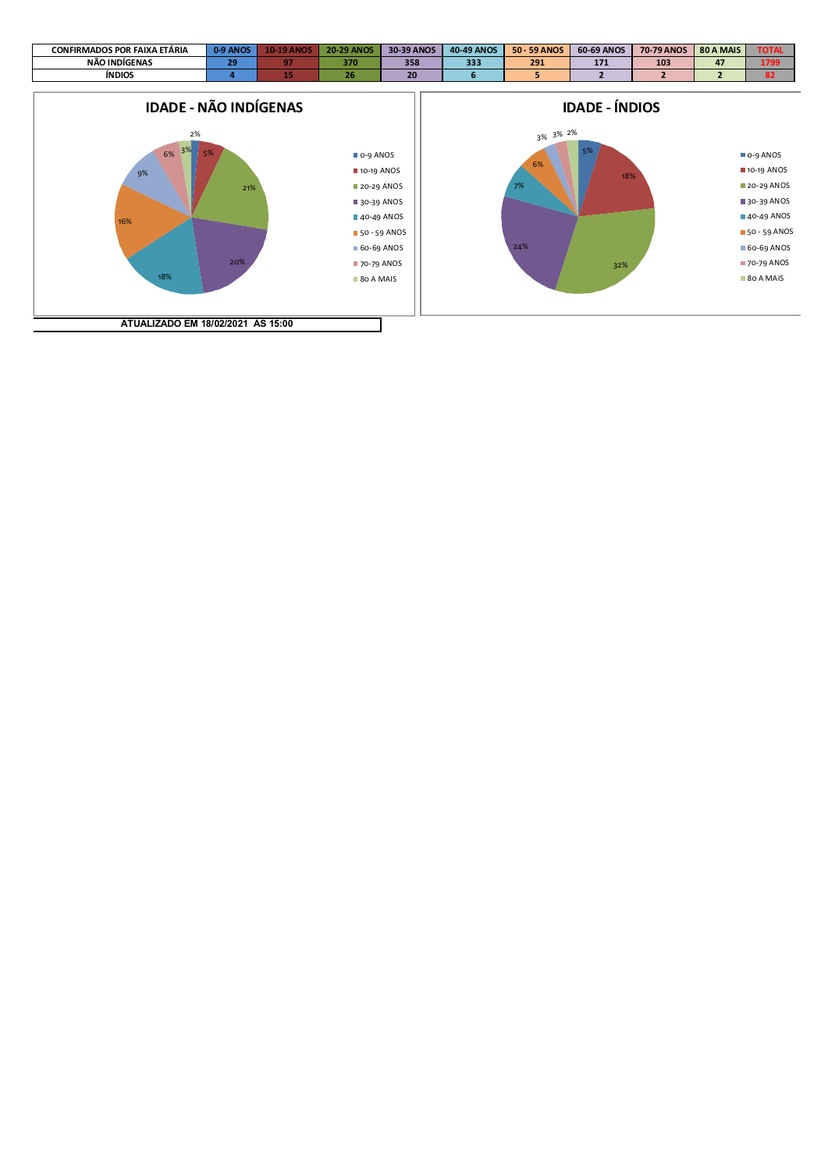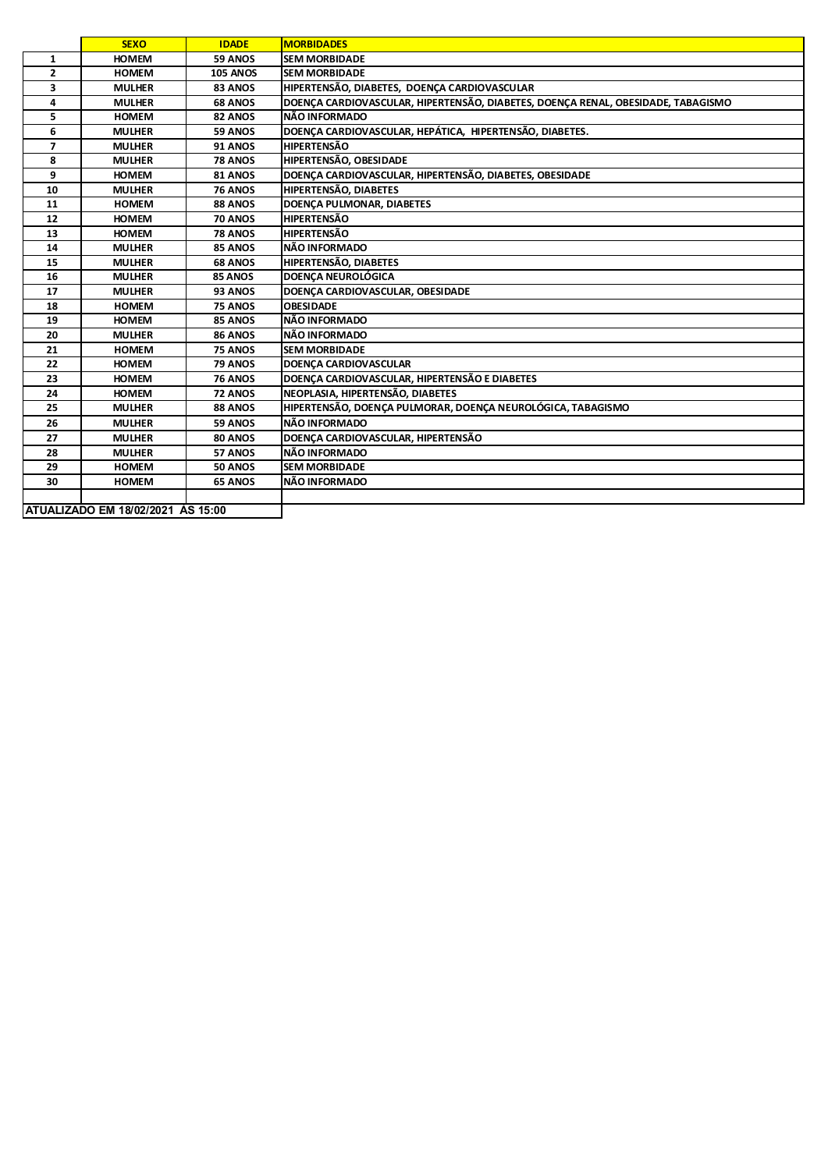|                                   | <b>SEXO</b>   | <b>IDADE</b>    | <b>MORBIDADES</b>                                                                |  |
|-----------------------------------|---------------|-----------------|----------------------------------------------------------------------------------|--|
| 1                                 | <b>HOMEM</b>  | 59 ANOS         | <b>SEM MORBIDADE</b>                                                             |  |
| $\overline{2}$                    | <b>HOMEM</b>  | <b>105 ANOS</b> | <b>SEM MORBIDADE</b>                                                             |  |
| 3                                 | <b>MULHER</b> | 83 ANOS         | HIPERTENSÃO, DIABETES, DOENÇA CARDIOVASCULAR                                     |  |
| 4                                 | <b>MULHER</b> | <b>68 ANOS</b>  | DOENCA CARDIOVASCULAR, HIPERTENSÃO, DIABETES, DOENCA RENAL, OBESIDADE, TABAGISMO |  |
| 5                                 | <b>HOMEM</b>  | 82 ANOS         | NÃO INFORMADO                                                                    |  |
| 6                                 | <b>MULHER</b> | 59 ANOS         | DOENÇA CARDIOVASCULAR, HEPÁTICA, HIPERTENSÃO, DIABETES.                          |  |
| $\overline{\phantom{a}}$          | <b>MULHER</b> | 91 ANOS         | <b>HIPERTENSÃO</b>                                                               |  |
| 8                                 | <b>MULHER</b> | 78 ANOS         | HIPERTENSÃO, OBESIDADE                                                           |  |
| 9                                 | <b>HOMEM</b>  | 81 ANOS         | DOENÇA CARDIOVASCULAR, HIPERTENSÃO, DIABETES, OBESIDADE                          |  |
| 10                                | <b>MULHER</b> | <b>76 ANOS</b>  | <b>HIPERTENSÃO, DIABETES</b>                                                     |  |
| 11                                | <b>HOMEM</b>  | 88 ANOS         | DOENCA PULMONAR, DIABETES                                                        |  |
| 12                                | <b>HOMEM</b>  | 70 ANOS         | <b>HIPERTENSÃO</b>                                                               |  |
| 13                                | <b>HOMEM</b>  | 78 ANOS         | <b>HIPERTENSÃO</b>                                                               |  |
| 14                                | <b>MULHER</b> | 85 ANOS         | NÃO INFORMADO                                                                    |  |
| 15                                | <b>MULHER</b> | <b>68 ANOS</b>  | HIPERTENSÃO, DIABETES                                                            |  |
| 16                                | <b>MULHER</b> | 85 ANOS         | <b>DOENÇA NEUROLÓGICA</b>                                                        |  |
| 17                                | <b>MULHER</b> | 93 ANOS         | DOENCA CARDIOVASCULAR, OBESIDADE                                                 |  |
| 18                                | <b>HOMEM</b>  | 75 ANOS         | <b>OBESIDADE</b>                                                                 |  |
| 19                                | <b>HOMEM</b>  | 85 ANOS         | NÃO INFORMADO                                                                    |  |
| 20                                | <b>MULHER</b> | 86 ANOS         | NÃO INFORMADO                                                                    |  |
| 21                                | <b>HOMEM</b>  | 75 ANOS         | <b>SEM MORBIDADE</b>                                                             |  |
| 22                                | <b>HOMEM</b>  | 79 ANOS         | <b>DOENCA CARDIOVASCULAR</b>                                                     |  |
| 23                                | <b>HOMEM</b>  | <b>76 ANOS</b>  | DOENÇA CARDIOVASCULAR, HIPERTENSÃO E DIABETES                                    |  |
| 24                                | <b>HOMEM</b>  | 72 ANOS         | NEOPLASIA, HIPERTENSÃO, DIABETES                                                 |  |
| 25                                | <b>MULHER</b> | 88 ANOS         | HIPERTENSÃO. DOENCA PULMORAR. DOENCA NEUROLÓGICA. TABAGISMO                      |  |
| 26                                | <b>MULHER</b> | 59 ANOS         | NÃO INFORMADO                                                                    |  |
| 27                                | <b>MULHER</b> | 80 ANOS         | DOENÇA CARDIOVASCULAR, HIPERTENSÃO                                               |  |
| 28                                | <b>MULHER</b> | 57 ANOS         | NÃO INFORMADO                                                                    |  |
| 29                                | <b>HOMEM</b>  | <b>50 ANOS</b>  | <b>SEM MORBIDADE</b>                                                             |  |
| 30                                | <b>HOMEM</b>  | <b>65 ANOS</b>  | NÃO INFORMADO                                                                    |  |
|                                   |               |                 |                                                                                  |  |
| ATUALIZADO EM 18/02/2021 ÀS 15:00 |               |                 |                                                                                  |  |